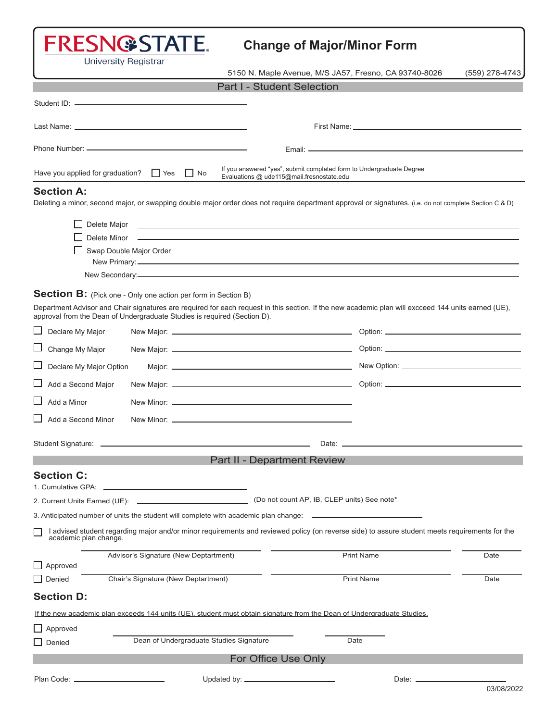# FRESN@STATE.

### **Change of Major/Minor Form**

**University Registrar** 

5150 N. Maple Avenue, M/S JA57, Fresno, CA 93740-8026 (559) 278-4743

| <b>Part I - Student Selection</b> |
|-----------------------------------|
|-----------------------------------|

| Have you applied for graduation?<br>$\Box$ Yes<br>$\vert$ No                                                                                                         | If you answered "yes", submit completed form to Undergraduate Degree<br>Evaluations @ ude115@mail.fresnostate.edu                                                                                                                    |  |
|----------------------------------------------------------------------------------------------------------------------------------------------------------------------|--------------------------------------------------------------------------------------------------------------------------------------------------------------------------------------------------------------------------------------|--|
| <b>Section A:</b>                                                                                                                                                    | Deleting a minor, second major, or swapping double major order does not require department approval or signatures. (i.e. do not complete Section C & D)                                                                              |  |
| Delete Major                                                                                                                                                         | <u> 1999 - Johann Harry Harry Harry Harry Harry Harry Harry Harry Harry Harry Harry Harry Harry Harry Harry Harry Harry Harry Harry Harry Harry Harry Harry Harry Harry Harry Harry Harry Harry Harry Harry Harry Harry Harry Ha</u> |  |
| Swap Double Major Order                                                                                                                                              |                                                                                                                                                                                                                                      |  |
|                                                                                                                                                                      |                                                                                                                                                                                                                                      |  |
| <b>Section B:</b> (Pick one - Only one action per form in Section B)<br>approval from the Dean of Undergraduate Studies is required (Section D).<br>Declare My Major | Department Advisor and Chair signatures are required for each request in this section. If the new academic plan will excceed 144 units earned (UE),                                                                                  |  |
|                                                                                                                                                                      |                                                                                                                                                                                                                                      |  |
| Change My Major                                                                                                                                                      |                                                                                                                                                                                                                                      |  |
| Declare My Major Option                                                                                                                                              |                                                                                                                                                                                                                                      |  |
| Add a Second Major                                                                                                                                                   |                                                                                                                                                                                                                                      |  |
| Add a Minor                                                                                                                                                          |                                                                                                                                                                                                                                      |  |
| $\Box$ Add a Second Minor                                                                                                                                            |                                                                                                                                                                                                                                      |  |
|                                                                                                                                                                      |                                                                                                                                                                                                                                      |  |
|                                                                                                                                                                      | Part II - Department Review                                                                                                                                                                                                          |  |
| <b>Section C:</b>                                                                                                                                                    |                                                                                                                                                                                                                                      |  |
| 2. Current Units Earned (UE):                                                                                                                                        | (Do not count AP, IB, CLEP units) See note*                                                                                                                                                                                          |  |
| 3. Anticipated number of units the student will complete with academic plan change: $\overline{\phantom{a}}$                                                         |                                                                                                                                                                                                                                      |  |
| academic plan change.                                                                                                                                                | I advised student regarding major and/or minor requirements and reviewed policy (on reverse side) to assure student meets requirements for the                                                                                       |  |
| Advisor's Signature (New Deptartment)<br>$\Box$ Approved                                                                                                             | <b>Print Name</b><br>Date                                                                                                                                                                                                            |  |
| Chair's Signature (New Deptartment)<br>Denied                                                                                                                        | <b>Print Name</b><br>Date                                                                                                                                                                                                            |  |
| <b>Section D:</b>                                                                                                                                                    |                                                                                                                                                                                                                                      |  |
| If the new academic plan exceeds 144 units (UE), student must obtain signature from the Dean of Undergraduate Studies.                                               |                                                                                                                                                                                                                                      |  |
| $\Box$ Approved                                                                                                                                                      |                                                                                                                                                                                                                                      |  |
| Dean of Undergraduate Studies Signature<br>$\Box$ Denied                                                                                                             | Date                                                                                                                                                                                                                                 |  |
| For Office Use Only                                                                                                                                                  |                                                                                                                                                                                                                                      |  |
| Plan Code: .<br>Updated by: _                                                                                                                                        | Date: <sub>-</sub>                                                                                                                                                                                                                   |  |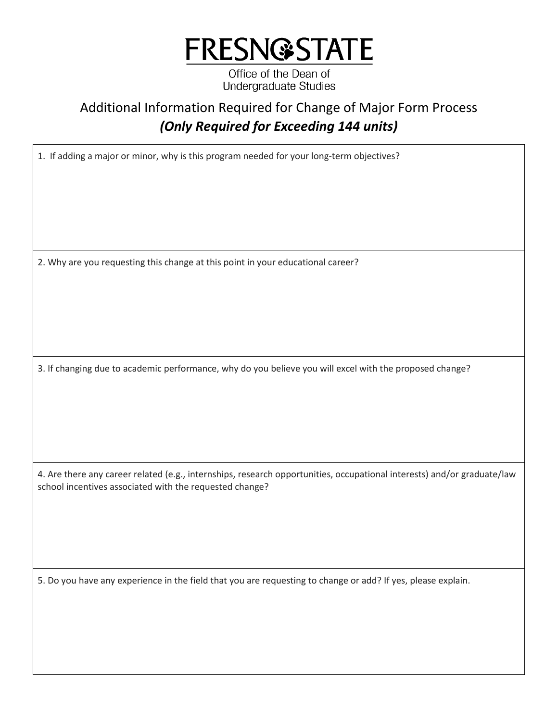

Office of the Dean of **Undergraduate Studies** 

## Additional Information Required for Change of Major Form Process  *(Only Required for Exceeding 144 units)*

1. If adding a major or minor, why is this program needed for your long-term objectives?

2. Why are you requesting this change at this point in your educational career?

3. If changing due to academic performance, why do you believe you will excel with the proposed change?

4. Are there any career related (e.g., internships, research opportunities, occupational interests) and/or graduate/law school incentives associated with the requested change?

5. Do you have any experience in the field that you are requesting to change or add? If yes, please explain.